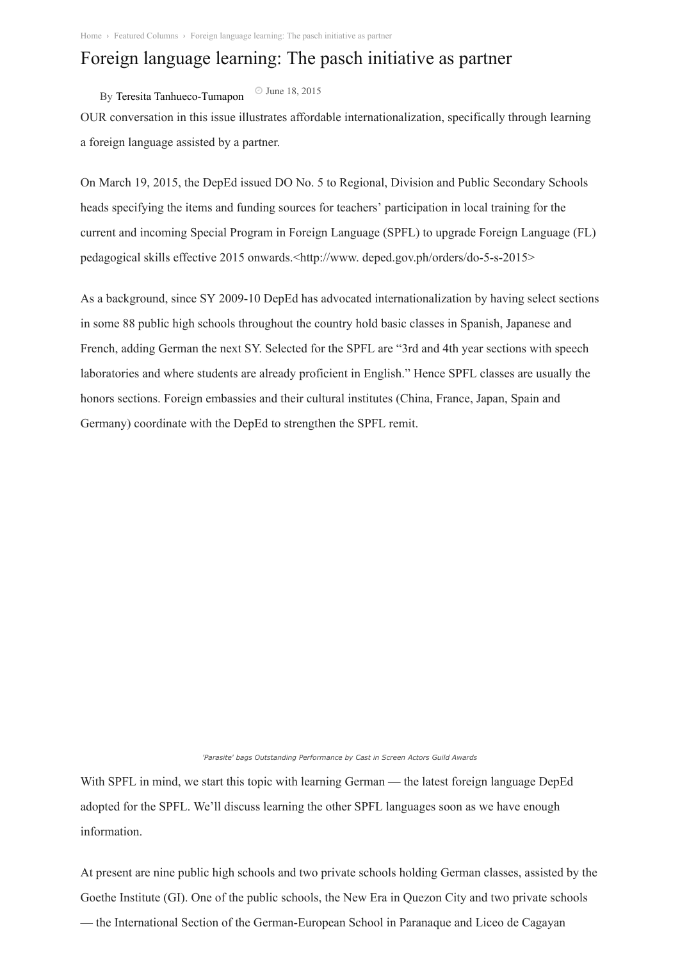## Foreign language learning: The pasch initiative as partner

By Teresita [Tanhueco-Tumapon](https://www.manilatimes.net/author/teresita-tumapon/) June 18, 2015

OUR conversation in this issue illustrates affordable internationalization, specifically through learning a foreign language assisted by a partner.

On March 19, 2015, the DepEd issued DO No. 5 to Regional, Division and Public Secondary Schools heads specifying the items and funding sources for teachers' participation in local training for the current and incoming Special Program in Foreign Language (SPFL) to upgrade Foreign Language (FL) pedagogical skills effective 2015 onwards.<http://www. deped.gov.ph/orders/do-5-s-2015>

As a background, since SY 2009-10 DepEd has advocated internationalization by having select sections in some 88 public high schools throughout the country hold basic classes in Spanish, Japanese and French, adding German the next SY. Selected for the SPFL are "3rd and 4th year sections with speech laboratories and where students are already proficient in English." Hence SPFL classes are usually the honors sections. Foreign embassies and their cultural institutes (China, France, Japan, Spain and Germany) coordinate with the DepEd to strengthen the SPFL remit.

*'Parasite' bags Outstanding Performance by Cast in Screen Actors Guild Awards*

With SPFL in mind, we start this topic with learning German — the latest foreign language DepEd adopted for the SPFL. We'll discuss learning the other SPFL languages soon as we have enough information.

At present are nine public high schools and two private schools holding German classes, assisted by the Goethe Institute (GI). One of the public schools, the New Era in Quezon City and two private schools — the International Section of the German-European School in Paranaque and Liceo de Cagayan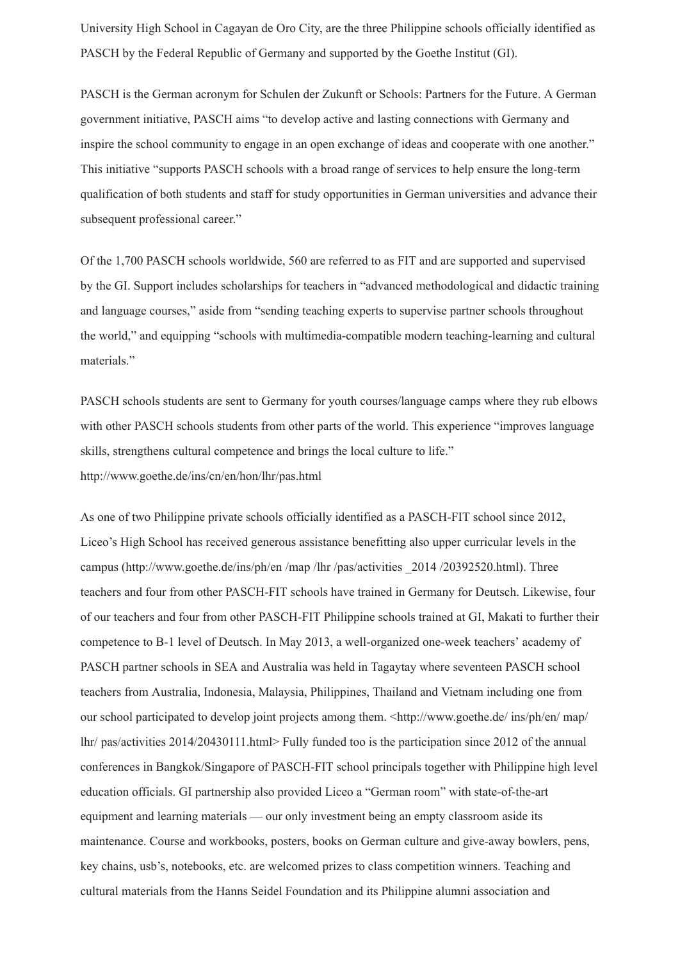University High School in Cagayan de Oro City, are the three Philippine schools officially identified as PASCH by the Federal Republic of Germany and supported by the Goethe Institut (GI).

PASCH is the German acronym for Schulen der Zukunft or Schools: Partners for the Future. A German government initiative, PASCH aims "to develop active and lasting connections with Germany and inspire the school community to engage in an open exchange of ideas and cooperate with one another." This initiative "supports PASCH schools with a broad range of services to help ensure the long-term qualification of both students and staff for study opportunities in German universities and advance their subsequent professional career."

Of the 1,700 PASCH schools worldwide, 560 are referred to as FIT and are supported and supervised by the GI. Support includes scholarships for teachers in "advanced methodological and didactic training and language courses," aside from "sending teaching experts to supervise partner schools throughout the world," and equipping "schools with multimedia-compatible modern teaching-learning and cultural materials."

PASCH schools students are sent to Germany for youth courses/language camps where they rub elbows with other PASCH schools students from other parts of the world. This experience "improves language" skills, strengthens cultural competence and brings the local culture to life." http://www.goethe.de/ins/cn/en/hon/lhr/pas.html

As one of two Philippine private schools officially identified as a PASCH-FIT school since 2012, Liceo's High School has received generous assistance benefitting also upper curricular levels in the campus (http://www.goethe.de/ins/ph/en /map /lhr /pas/activities \_2014 /20392520.html). Three teachers and four from other PASCH-FIT schools have trained in Germany for Deutsch. Likewise, four of our teachers and four from other PASCH-FIT Philippine schools trained at GI, Makati to further their competence to B-1 level of Deutsch. In May 2013, a well-organized one-week teachers' academy of PASCH partner schools in SEA and Australia was held in Tagaytay where seventeen PASCH school teachers from Australia, Indonesia, Malaysia, Philippines, Thailand and Vietnam including one from our school participated to develop joint projects among them. <http://www.goethe.de/ ins/ph/en/ map/ lhr/ pas/activities 2014/20430111.html> Fully funded too is the participation since 2012 of the annual conferences in Bangkok/Singapore of PASCH-FIT school principals together with Philippine high level education officials. GI partnership also provided Liceo a "German room" with state-of-the-art equipment and learning materials — our only investment being an empty classroom aside its maintenance. Course and workbooks, posters, books on German culture and give-away bowlers, pens, key chains, usb's, notebooks, etc. are welcomed prizes to class competition winners. Teaching and cultural materials from the Hanns Seidel Foundation and its Philippine alumni association and